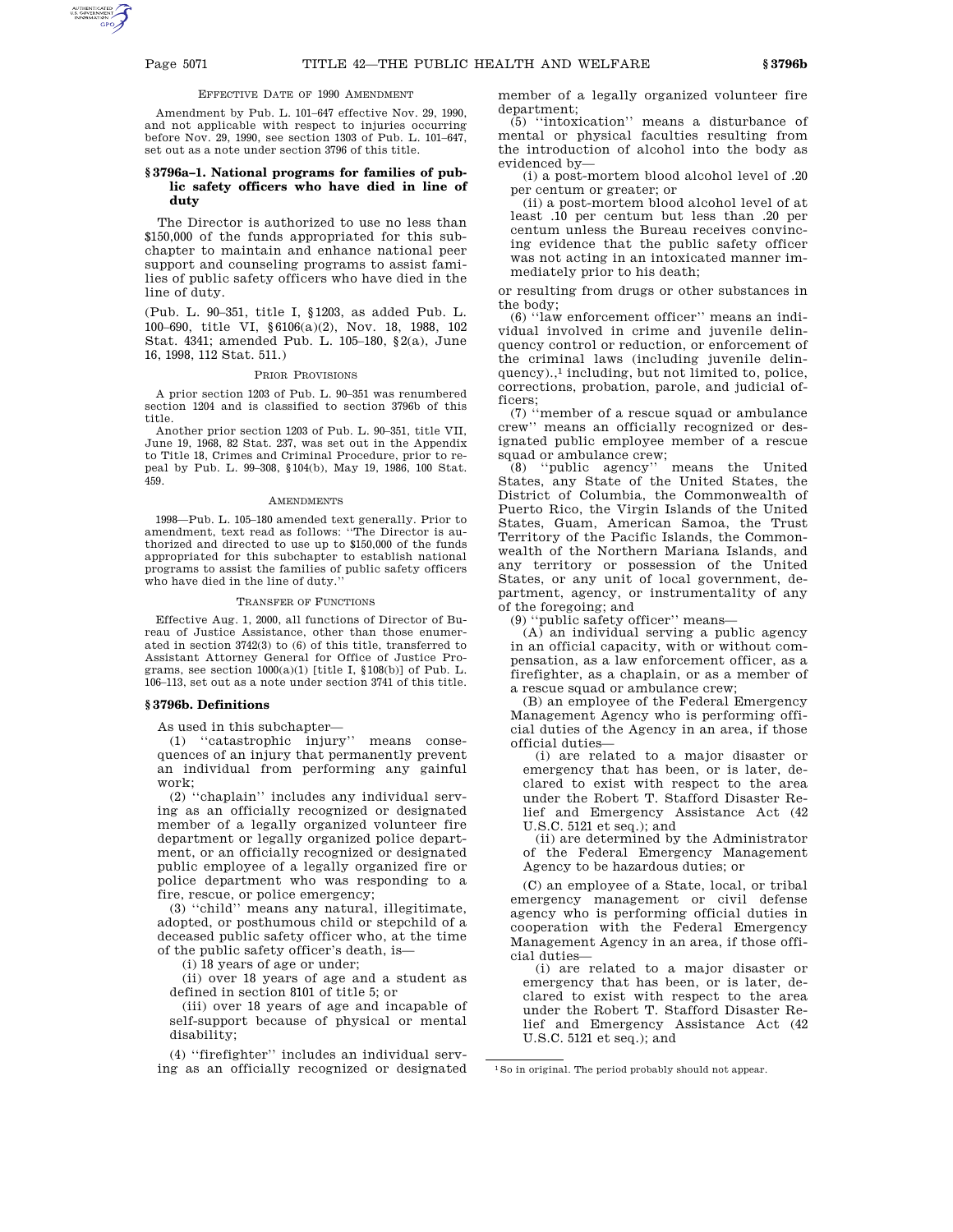## EFFECTIVE DATE OF 1990 AMENDMENT

Amendment by Pub. L. 101–647 effective Nov. 29, 1990, and not applicable with respect to injuries occurring before Nov. 29, 1990, see section 1303 of Pub. L. 101–647, set out as a note under section 3796 of this title.

# **§ 3796a–1. National programs for families of public safety officers who have died in line of duty**

The Director is authorized to use no less than \$150,000 of the funds appropriated for this subchapter to maintain and enhance national peer support and counseling programs to assist families of public safety officers who have died in the line of duty.

(Pub. L. 90–351, title I, §1203, as added Pub. L. 100–690, title VI, §6106(a)(2), Nov. 18, 1988, 102 Stat. 4341; amended Pub. L. 105–180, §2(a), June 16, 1998, 112 Stat. 511.)

## PRIOR PROVISIONS

A prior section 1203 of Pub. L. 90–351 was renumbered section 1204 and is classified to section 3796b of this title.

Another prior section 1203 of Pub. L. 90–351, title VII, June 19, 1968, 82 Stat. 237, was set out in the Appendix to Title 18, Crimes and Criminal Procedure, prior to repeal by Pub. L. 99–308, §104(b), May 19, 1986, 100 Stat. 459.

## AMENDMENTS

1998—Pub. L. 105–180 amended text generally. Prior to amendment, text read as follows: ''The Director is authorized and directed to use up to \$150,000 of the funds appropriated for this subchapter to establish national programs to assist the families of public safety officers who have died in the line of duty.''

#### TRANSFER OF FUNCTIONS

Effective Aug. 1, 2000, all functions of Director of Bureau of Justice Assistance, other than those enumerated in section 3742(3) to (6) of this title, transferred to Assistant Attorney General for Office of Justice Programs, see section  $1000(a)(1)$  [title I,  $$108(b)$ ] of Pub. L. 106–113, set out as a note under section 3741 of this title.

## **§ 3796b. Definitions**

As used in this subchapter—

(1) ''catastrophic injury'' means consequences of an injury that permanently prevent an individual from performing any gainful work;

(2) ''chaplain'' includes any individual serving as an officially recognized or designated member of a legally organized volunteer fire department or legally organized police department, or an officially recognized or designated public employee of a legally organized fire or police department who was responding to a fire, rescue, or police emergency;

(3) ''child'' means any natural, illegitimate, adopted, or posthumous child or stepchild of a deceased public safety officer who, at the time of the public safety officer's death, is—

(i) 18 years of age or under;

(ii) over 18 years of age and a student as defined in section 8101 of title 5; or

(iii) over 18 years of age and incapable of self-support because of physical or mental disability;

(4) ''firefighter'' includes an individual serving as an officially recognized or designated member of a legally organized volunteer fire department;

(5) ''intoxication'' means a disturbance of mental or physical faculties resulting from the introduction of alcohol into the body as evidenced by—

(i) a post-mortem blood alcohol level of .20 per centum or greater; or

(ii) a post-mortem blood alcohol level of at least .10 per centum but less than .20 per centum unless the Bureau receives convincing evidence that the public safety officer was not acting in an intoxicated manner immediately prior to his death;

or resulting from drugs or other substances in the body;

(6) ''law enforcement officer'' means an individual involved in crime and juvenile delinquency control or reduction, or enforcement of the criminal laws (including juvenile delinquency).,<sup>1</sup> including, but not limited to, police, corrections, probation, parole, and judicial officers;

(7) ''member of a rescue squad or ambulance crew'' means an officially recognized or designated public employee member of a rescue squad or ambulance crew;

(8) ''public agency'' means the United States, any State of the United States, the District of Columbia, the Commonwealth of Puerto Rico, the Virgin Islands of the United States, Guam, American Samoa, the Trust Territory of the Pacific Islands, the Commonwealth of the Northern Mariana Islands, and any territory or possession of the United States, or any unit of local government, department, agency, or instrumentality of any of the foregoing; and

(9) ''public safety officer'' means—

 $(A)$  an individual serving a public agency in an official capacity, with or without compensation, as a law enforcement officer, as a firefighter, as a chaplain, or as a member of a rescue squad or ambulance crew;

(B) an employee of the Federal Emergency Management Agency who is performing official duties of the Agency in an area, if those official duties—

(i) are related to a major disaster or emergency that has been, or is later, declared to exist with respect to the area under the Robert T. Stafford Disaster Relief and Emergency Assistance Act (42 U.S.C. 5121 et seq.); and

(ii) are determined by the Administrator of the Federal Emergency Management Agency to be hazardous duties; or

(C) an employee of a State, local, or tribal emergency management or civil defense agency who is performing official duties in cooperation with the Federal Emergency Management Agency in an area, if those official duties—

(i) are related to a major disaster or emergency that has been, or is later, declared to exist with respect to the area under the Robert T. Stafford Disaster Relief and Emergency Assistance Act (42 U.S.C. 5121 et seq.); and

<sup>1</sup>So in original. The period probably should not appear.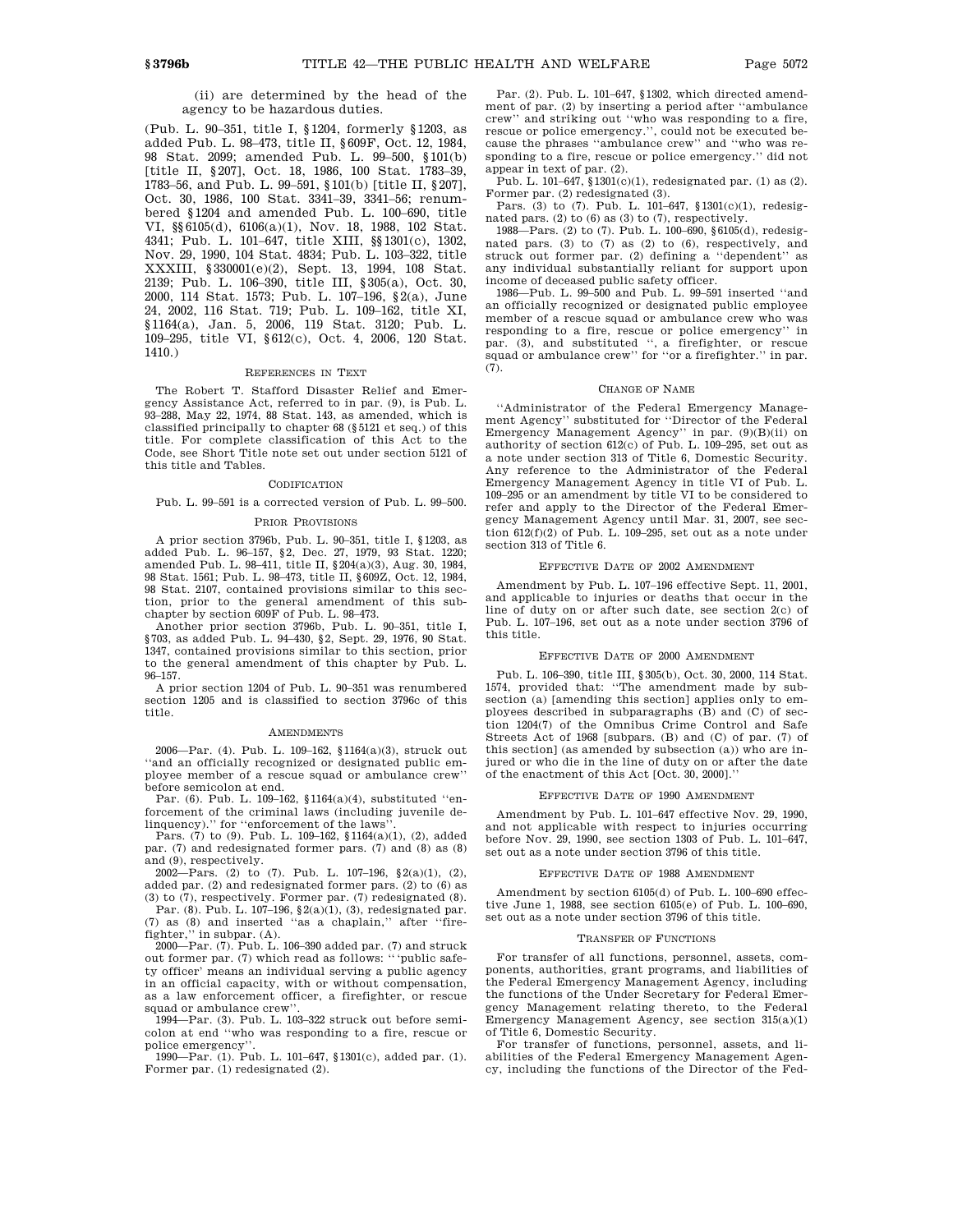# (ii) are determined by the head of the agency to be hazardous duties.

(Pub. L. 90–351, title I, §1204, formerly §1203, as added Pub. L. 98–473, title II, §609F, Oct. 12, 1984, 98 Stat. 2099; amended Pub. L. 99–500, §101(b) [title II, §207], Oct. 18, 1986, 100 Stat. 1783–39, 1783–56, and Pub. L. 99–591, §101(b) [title II, §207], Oct. 30, 1986, 100 Stat. 3341–39, 3341–56; renumbered §1204 and amended Pub. L. 100–690, title VI, §§6105(d), 6106(a)(1), Nov. 18, 1988, 102 Stat. 4341; Pub. L. 101–647, title XIII, §§1301(c), 1302, Nov. 29, 1990, 104 Stat. 4834; Pub. L. 103–322, title XXXIII, §330001(e)(2), Sept. 13, 1994, 108 Stat. 2139; Pub. L. 106–390, title III, §305(a), Oct. 30, 2000, 114 Stat. 1573; Pub. L. 107–196, §2(a), June 24, 2002, 116 Stat. 719; Pub. L. 109–162, title XI, §1164(a), Jan. 5, 2006, 119 Stat. 3120; Pub. L. 109–295, title VI, §612(c), Oct. 4, 2006, 120 Stat. 1410.)

## REFERENCES IN TEXT

The Robert T. Stafford Disaster Relief and Emergency Assistance Act, referred to in par. (9), is Pub. L. 93–288, May 22, 1974, 88 Stat. 143, as amended, which is classified principally to chapter 68 (§5121 et seq.) of this title. For complete classification of this Act to the Code, see Short Title note set out under section 5121 of this title and Tables.

# **CODIFICATION**

Pub. L. 99–591 is a corrected version of Pub. L. 99–500.

## PRIOR PROVISIONS

A prior section 3796b, Pub. L. 90–351, title I, §1203, as added Pub. L. 96–157, §2, Dec. 27, 1979, 93 Stat. 1220; amended Pub. L. 98–411, title II, §204(a)(3), Aug. 30, 1984, 98 Stat. 1561; Pub. L. 98–473, title II, §609Z, Oct. 12, 1984, 98 Stat. 2107, contained provisions similar to this section, prior to the general amendment of this subchapter by section 609F of Pub. L. 98–473.

Another prior section 3796b, Pub. L. 90–351, title I, §703, as added Pub. L. 94–430, §2, Sept. 29, 1976, 90 Stat. 1347, contained provisions similar to this section, prior to the general amendment of this chapter by Pub. L. 96–157.

A prior section 1204 of Pub. L. 90–351 was renumbered section 1205 and is classified to section 3796c of this title.

## AMENDMENTS

2006—Par. (4). Pub. L. 109–162, §1164(a)(3), struck out ''and an officially recognized or designated public employee member of a rescue squad or ambulance crew'' before semicolon at end.

Par. (6). Pub. L. 109–162, §1164(a)(4), substituted ''enforcement of the criminal laws (including juvenile delinquency).'' for ''enforcement of the laws''.

Pars. (7) to (9). Pub. L. 109–162, §1164(a)(1), (2), added par. (7) and redesignated former pars. (7) and (8) as (8) and (9), respectively.

 $2002$ —Pars. (2) to (7). Pub. L. 107–196, §2(a)(1), (2), added par. (2) and redesignated former pars. (2) to (6) as (3) to (7), respectively. Former par. (7) redesignated (8).

Par. (8). Pub. L. 107–196, §2(a)(1), (3), redesignated par. (7) as (8) and inserted ''as a chaplain,'' after ''firefighter,'' in subpar. (A).

2000—Par. (7). Pub. L. 106–390 added par. (7) and struck out former par. (7) which read as follows: '''public safety officer' means an individual serving a public agency in an official capacity, with or without compensation, as a law enforcement officer, a firefighter, or rescue squad or ambulance crew''.

1994—Par. (3). Pub. L. 103–322 struck out before semicolon at end ''who was responding to a fire, rescue or police emergency''.

1990—Par. (1). Pub. L. 101–647, §1301(c), added par. (1). Former par. (1) redesignated (2).

Par. (2). Pub. L. 101–647, §1302, which directed amendment of par. (2) by inserting a period after ''ambulance crew'' and striking out ''who was responding to a fire, rescue or police emergency.'', could not be executed because the phrases ''ambulance crew'' and ''who was responding to a fire, rescue or police emergency.'' did not appear in text of par. (2).

Pub. L. 101–647, §1301(c)(1), redesignated par. (1) as (2). Former par. (2) redesignated (3).

Pars. (3) to (7). Pub. L. 101–647, §1301(c)(1), redesignated pars.  $(2)$  to  $(6)$  as  $(3)$  to  $(7)$ , respectively.

1988—Pars. (2) to (7). Pub. L. 100–690, §6105(d), redesignated pars. (3) to (7) as (2) to (6), respectively, and struck out former par. (2) defining a ''dependent'' as any individual substantially reliant for support upon income of deceased public safety officer.

1986—Pub. L. 99–500 and Pub. L. 99–591 inserted ''and an officially recognized or designated public employee member of a rescue squad or ambulance crew who was responding to a fire, rescue or police emergency'' in par. (3), and substituted '', a firefighter, or rescue squad or ambulance crew'' for ''or a firefighter.'' in par. (7).

### CHANGE OF NAME

''Administrator of the Federal Emergency Management Agency'' substituted for ''Director of the Federal Emergency Management Agency'' in par. (9)(B)(ii) on authority of section 612(c) of Pub. L. 109–295, set out as a note under section 313 of Title 6, Domestic Security. Any reference to the Administrator of the Federal Emergency Management Agency in title VI of Pub. L. 109–295 or an amendment by title VI to be considered to refer and apply to the Director of the Federal Emergency Management Agency until Mar. 31, 2007, see section 612(f)(2) of Pub. L. 109–295, set out as a note under section 313 of Title 6.

#### EFFECTIVE DATE OF 2002 AMENDMENT

Amendment by Pub. L. 107–196 effective Sept. 11, 2001, and applicable to injuries or deaths that occur in the line of duty on or after such date, see section 2(c) of Pub. L. 107–196, set out as a note under section 3796 of this title.

## EFFECTIVE DATE OF 2000 AMENDMENT

Pub. L. 106–390, title III, §305(b), Oct. 30, 2000, 114 Stat. 1574, provided that: "The amendment made by subsection (a) [amending this section] applies only to employees described in subparagraphs (B) and (C) of section 1204(7) of the Omnibus Crime Control and Safe Streets Act of 1968 [subpars. (B) and (C) of par. (7) of this section] (as amended by subsection (a)) who are injured or who die in the line of duty on or after the date of the enactment of this Act [Oct. 30, 2000].''

#### EFFECTIVE DATE OF 1990 AMENDMENT

Amendment by Pub. L. 101–647 effective Nov. 29, 1990, and not applicable with respect to injuries occurring before Nov. 29, 1990, see section 1303 of Pub. L. 101–647, set out as a note under section 3796 of this title.

## EFFECTIVE DATE OF 1988 AMENDMENT

Amendment by section 6105(d) of Pub. L. 100–690 effective June 1, 1988, see section 6105(e) of Pub. L. 100–690, set out as a note under section 3796 of this title.

#### TRANSFER OF FUNCTIONS

For transfer of all functions, personnel, assets, components, authorities, grant programs, and liabilities of the Federal Emergency Management Agency, including the functions of the Under Secretary for Federal Emergency Management relating thereto, to the Federal Emergency Management Agency, see section 315(a)(1) of Title 6, Domestic Security.

For transfer of functions, personnel, assets, and liabilities of the Federal Emergency Management Agency, including the functions of the Director of the Fed-